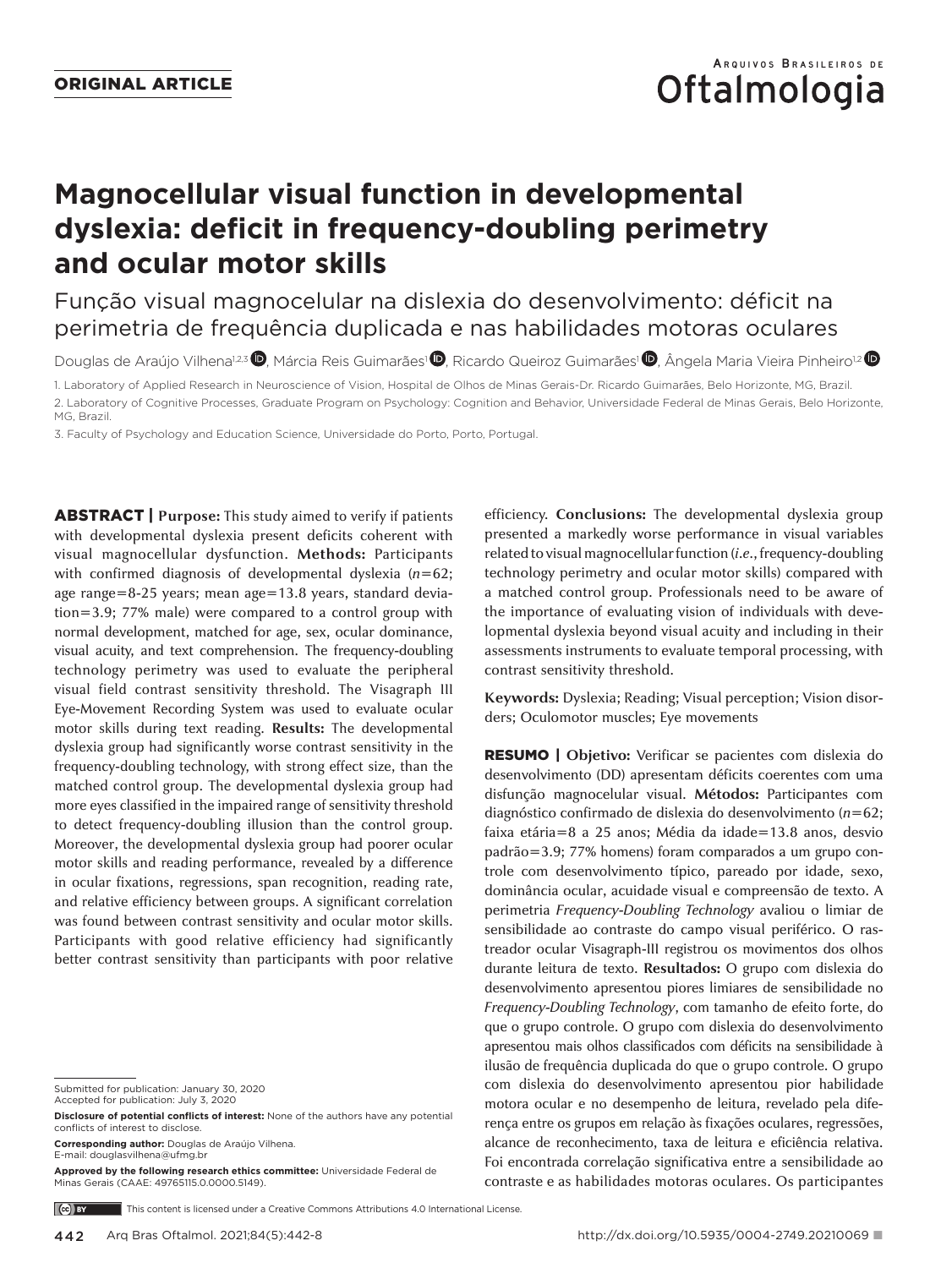# **Oftalmologia**

# **Magnocellular visual function in developmental dyslexia: deficit in frequency-doubling perimetry and ocular motor skills**

Função visual magnocelular na dislexia do desenvolvimento: déficit na perimetria de frequência duplicada e nas habilidades motoras oculares

Douglas de Araújo Vilhena<sup>1,2,3</sup> <sup>(D</sup>. Márcia Reis Guimarães<sup>1</sup> (D. Ricardo Queiroz Guimarães<sup>1</sup> (D. Ângela Maria Vieira Pinheiro<sup>1,2</sup> (D

1. Laboratory of Applied Research in Neuroscience of Vision, Hospital de Olhos de Minas Gerais-Dr. Ricardo Guimarães, Belo Horizonte, MG, Brazil. 2. Laboratory of Cognitive Processes, Graduate Program on Psychology: Cognition and Behavior, Universidade Federal de Minas Gerais, Belo Horizonte, MG, Brazil.

3. Faculty of Psychology and Education Science, Universidade do Porto, Porto, Portugal.

ABSTRACT | **Purpose:** This study aimed to verify if patients with developmental dyslexia present deficits coherent with visual magnocellular dysfunction. **Methods:** Participants with confirmed diagnosis of developmental dyslexia (*n*=62; age range=8-25 years; mean age=13.8 years, standard deviation=3.9; 77% male) were compared to a control group with normal development, matched for age, sex, ocular dominance, visual acuity, and text comprehension. The frequency-doubling technology perimetry was used to evaluate the peripheral visual field contrast sensitivity threshold. The Visagraph III Eye-Movement Recording System was used to evaluate ocular motor skills during text reading. **Results:** The developmental dyslexia group had significantly worse contrast sensitivity in the frequency-doubling technology, with strong effect size, than the matched control group. The developmental dyslexia group had more eyes classified in the impaired range of sensitivity threshold to detect frequency-doubling illusion than the control group. Moreover, the developmental dyslexia group had poorer ocular motor skills and reading performance, revealed by a difference in ocular fixations, regressions, span recognition, reading rate, and relative efficiency between groups. A significant correlation was found between contrast sensitivity and ocular motor skills. Participants with good relative efficiency had significantly better contrast sensitivity than participants with poor relative

Submitted for publication: January 30, 2020

Accepted for publication: July 3, 2020

**Corresponding author:** Douglas de Araújo Vilhena. E-mail: douglasvilhena@ufmg.br

**Approved by the following research ethics committee:** Universidade Federal de Minas Gerais (CAAE: 49765115.0.0000.5149).

efficiency. **Conclusions:** The developmental dyslexia group presented a markedly worse performance in visual variables related to visual magnocellular function (*i.e.*, frequency-doubling technology perimetry and ocular motor skills) compared with a matched control group. Professionals need to be aware of the importance of evaluating vision of individuals with developmental dyslexia beyond visual acuity and including in their assessments instruments to evaluate temporal processing, with contrast sensitivity threshold.

**Keywords:** Dyslexia; Reading; Visual perception; Vision disorders; Oculomotor muscles; Eye movements

RESUMO | **Objetivo:** Verificar se pacientes com dislexia do desenvolvimento (DD) apresentam déficits coerentes com uma disfunção magnocelular visual. **Métodos:** Participantes com diagnóstico confirmado de dislexia do desenvolvimento (*n*=62; faixa etária=8 a 25 anos; Média da idade=13.8 anos, desvio padrão=3.9; 77% homens) foram comparados a um grupo controle com desenvolvimento típico, pareado por idade, sexo, dominância ocular, acuidade visual e compreensão de texto. A perimetria *Frequency-Doubling Technology* avaliou o limiar de sensibilidade ao contraste do campo visual periférico. O rastreador ocular Visagraph-III registrou os movimentos dos olhos durante leitura de texto. **Resultados:** O grupo com dislexia do desenvolvimento apresentou piores limiares de sensibilidade no *Frequency-Doubling Technology*, com tamanho de efeito forte, do que o grupo controle. O grupo com dislexia do desenvolvimento apresentou mais olhos classificados com déficits na sensibilidade à ilusão de frequência duplicada do que o grupo controle. O grupo com dislexia do desenvolvimento apresentou pior habilidade motora ocular e no desempenho de leitura, revelado pela diferença entre os grupos em relação às fixações oculares, regressões, alcance de reconhecimento, taxa de leitura e eficiência relativa. Foi encontrada correlação significativa entre a sensibilidade ao contraste e as habilidades motoras oculares. Os participantes

 $(c)$  BY This content is licensed under a Creative Commons Attributions 4.0 International License

**Disclosure of potential conflicts of interest:** None of the authors have any potential conflicts of interest to disclose.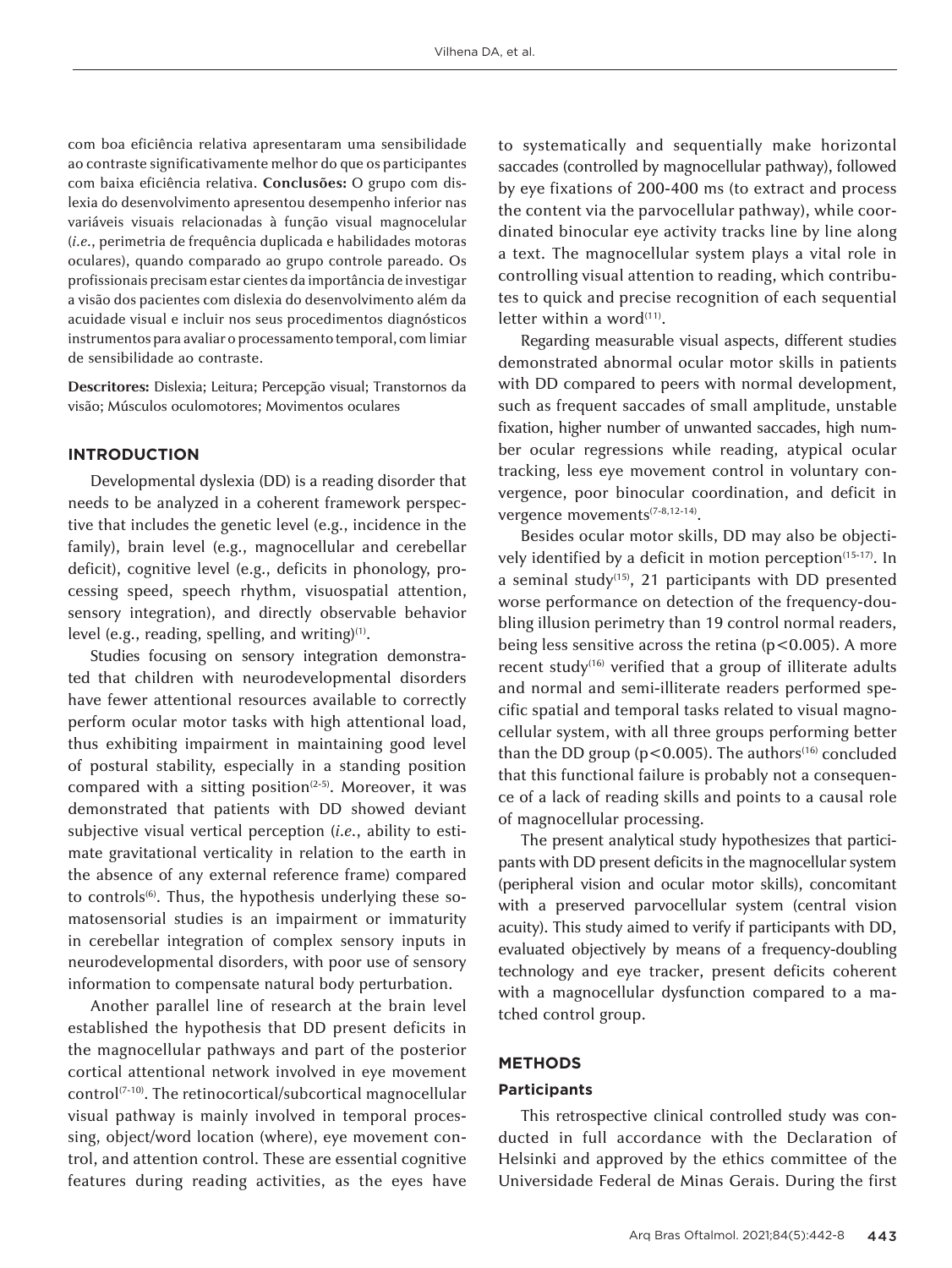com boa eficiência relativa apresentaram uma sensibilidade ao contraste significativamente melhor do que os participantes com baixa eficiência relativa. **Conclusões:** O grupo com dislexia do desenvolvimento apresentou desempenho inferior nas variáveis visuais relacionadas à função visual magnocelular (*i.e.*, perimetria de frequência duplicada e habilidades motoras oculares), quando comparado ao grupo controle pareado. Os profissionais precisam estar cientes da importância de investigar a visão dos pacientes com dislexia do desenvolvimento além da acuidade visual e incluir nos seus procedimentos diagnósticos instrumentos para avaliar o processamento temporal, com limiar de sensibilidade ao contraste.

**Descritores:** Dislexia; Leitura; Percepção visual; Transtornos da visão; Músculos oculomotores; Movimentos oculares

## **INTRODUCTION**

Developmental dyslexia (DD) is a reading disorder that needs to be analyzed in a coherent framework perspective that includes the genetic level (e.g., incidence in the family), brain level (e.g., magnocellular and cerebellar deficit), cognitive level (e.g., deficits in phonology, processing speed, speech rhythm, visuospatial attention, sensory integration), and directly observable behavior level (e.g., reading, spelling, and writing)<sup>(1)</sup>.

Studies focusing on sensory integration demonstrated that children with neurodevelopmental disorders have fewer attentional resources available to correctly perform ocular motor tasks with high attentional load, thus exhibiting impairment in maintaining good level of postural stability, especially in a standing position compared with a sitting position<sup> $(2-5)$ </sup>. Moreover, it was demonstrated that patients with DD showed deviant subjective visual vertical perception (*i.e.*, ability to estimate gravitational verticality in relation to the earth in the absence of any external reference frame) compared to controls<sup>(6)</sup>. Thus, the hypothesis underlying these somatosensorial studies is an impairment or immaturity in cerebellar integration of complex sensory inputs in neurodevelopmental disorders, with poor use of sensory information to compensate natural body perturbation.

Another parallel line of research at the brain level established the hypothesis that DD present deficits in the magnocellular pathways and part of the posterior cortical attentional network involved in eye movement control<sup>(7-10)</sup>. The retinocortical/subcortical magnocellular visual pathway is mainly involved in temporal processing, object/word location (where), eye movement control, and attention control. These are essential cognitive features during reading activities, as the eyes have

to systematically and sequentially make horizontal saccades (controlled by magnocellular pathway), followed by eye fixations of 200-400 ms (to extract and process the content via the parvocellular pathway), while coordinated binocular eye activity tracks line by line along a text. The magnocellular system plays a vital role in controlling visual attention to reading, which contributes to quick and precise recognition of each sequential letter within a word $(11)$ .

Regarding measurable visual aspects, different studies demonstrated abnormal ocular motor skills in patients with DD compared to peers with normal development, such as frequent saccades of small amplitude, unstable fixation, higher number of unwanted saccades, high number ocular regressions while reading, atypical ocular tracking, less eye movement control in voluntary convergence, poor binocular coordination, and deficit in vergence movements<sup>(7-8,12-14)</sup>.

Besides ocular motor skills, DD may also be objectively identified by a deficit in motion perception<sup>(15-17)</sup>. In a seminal study<sup>(15)</sup>, 21 participants with DD presented worse performance on detection of the frequency-doubling illusion perimetry than 19 control normal readers, being less sensitive across the retina  $(p<0.005)$ . A more recent study<sup>(16)</sup> verified that a group of illiterate adults and normal and semi-illiterate readers performed specific spatial and temporal tasks related to visual magnocellular system, with all three groups performing better than the DD group ( $p$ <0.005). The authors<sup>(16)</sup> concluded that this functional failure is probably not a consequence of a lack of reading skills and points to a causal role of magnocellular processing.

The present analytical study hypothesizes that participants with DD present deficits in the magnocellular system (peripheral vision and ocular motor skills), concomitant with a preserved parvocellular system (central vision acuity). This study aimed to verify if participants with DD, evaluated objectively by means of a frequency-doubling technology and eye tracker, present deficits coherent with a magnocellular dysfunction compared to a matched control group.

### **METHODS**

#### **Participants**

This retrospective clinical controlled study was conducted in full accordance with the Declaration of Helsinki and approved by the ethics committee of the Universidade Federal de Minas Gerais. During the first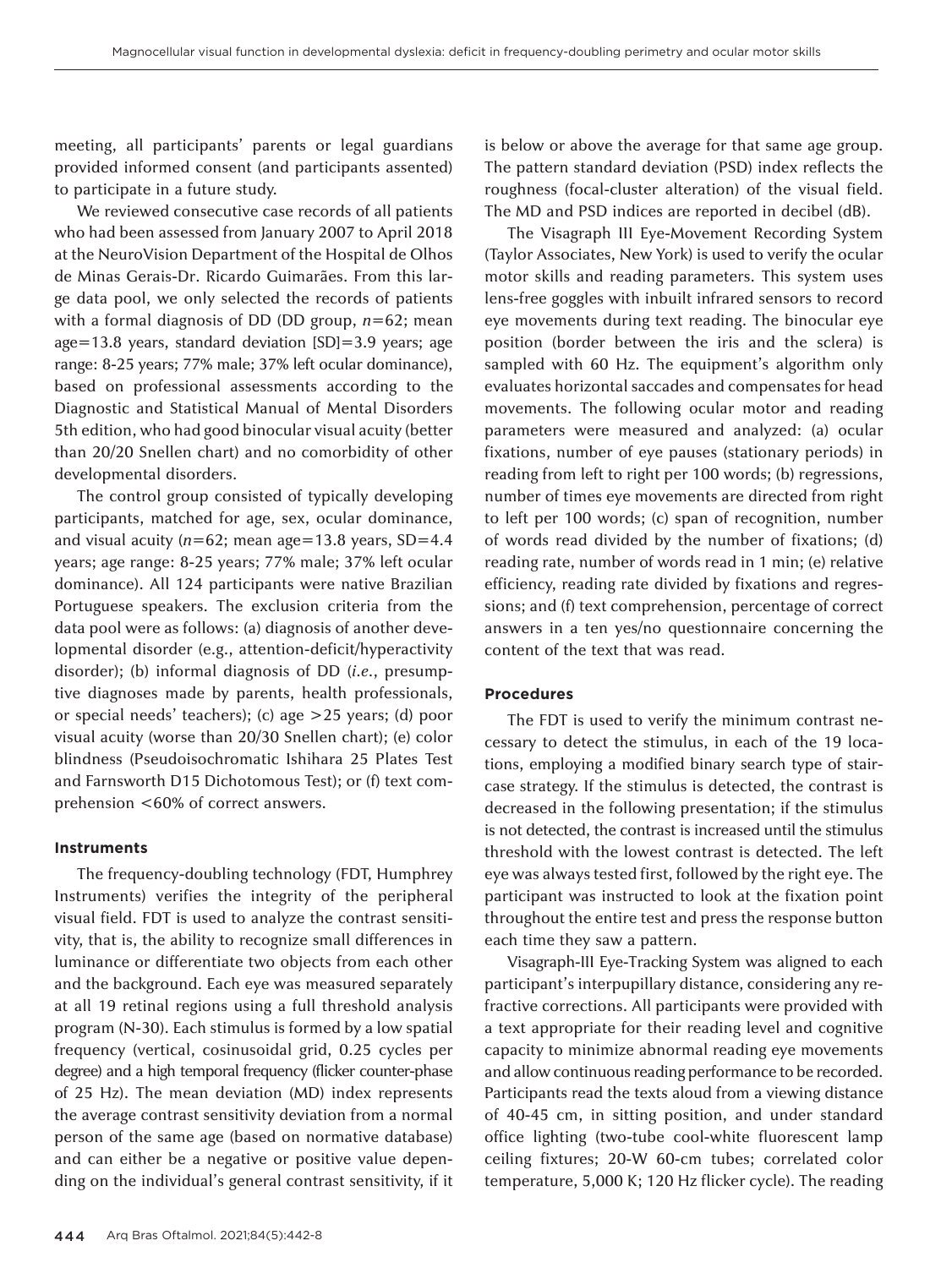meeting, all participants' parents or legal guardians provided informed consent (and participants assented) to participate in a future study.

We reviewed consecutive case records of all patients who had been assessed from January 2007 to April 2018 at the NeuroVision Department of the Hospital de Olhos de Minas Gerais-Dr. Ricardo Guimarães. From this large data pool, we only selected the records of patients with a formal diagnosis of DD (DD group, *n*=62; mean age=13.8 years, standard deviation [SD]=3.9 years; age range: 8-25 years; 77% male; 37% left ocular dominance), based on professional assessments according to the Diagnostic and Statistical Manual of Mental Disorders 5th edition, who had good binocular visual acuity (better than 20/20 Snellen chart) and no comorbidity of other developmental disorders.

The control group consisted of typically developing participants, matched for age, sex, ocular dominance, and visual acuity ( $n=62$ ; mean age=13.8 years,  $SD=4.4$ years; age range: 8-25 years; 77% male; 37% left ocular dominance). All 124 participants were native Brazilian Portuguese speakers. The exclusion criteria from the data pool were as follows: (a) diagnosis of another developmental disorder (e.g., attention-deficit/hyperactivity disorder); (b) informal diagnosis of DD (*i.e.*, presumptive diagnoses made by parents, health professionals, or special needs' teachers); (c) age >25 years; (d) poor visual acuity (worse than 20/30 Snellen chart); (e) color blindness (Pseudoisochromatic Ishihara 25 Plates Test and Farnsworth D15 Dichotomous Test); or (f) text comprehension <60% of correct answers.

#### **Instruments**

The frequency-doubling technology (FDT, Humphrey Instruments) verifies the integrity of the peripheral visual field. FDT is used to analyze the contrast sensitivity, that is, the ability to recognize small differences in luminance or differentiate two objects from each other and the background. Each eye was measured separately at all 19 retinal regions using a full threshold analysis program (N-30). Each stimulus is formed by a low spatial frequency (vertical, cosinusoidal grid, 0.25 cycles per degree) and a high temporal frequency (flicker counter-phase of 25 Hz). The mean deviation (MD) index represents the average contrast sensitivity deviation from a normal person of the same age (based on normative database) and can either be a negative or positive value depending on the individual's general contrast sensitivity, if it is below or above the average for that same age group. The pattern standard deviation (PSD) index reflects the roughness (focal-cluster alteration) of the visual field. The MD and PSD indices are reported in decibel (dB).

The Visagraph III Eye-Movement Recording System (Taylor Associates, New York) is used to verify the ocular motor skills and reading parameters. This system uses lens-free goggles with inbuilt infrared sensors to record eye movements during text reading. The binocular eye position (border between the iris and the sclera) is sampled with 60 Hz. The equipment's algorithm only evaluates horizontal saccades and compensates for head movements. The following ocular motor and reading parameters were measured and analyzed: (a) ocular fixations, number of eye pauses (stationary periods) in reading from left to right per 100 words; (b) regressions, number of times eye movements are directed from right to left per 100 words; (c) span of recognition, number of words read divided by the number of fixations; (d) reading rate, number of words read in 1 min; (e) relative efficiency, reading rate divided by fixations and regressions; and (f) text comprehension, percentage of correct answers in a ten yes/no questionnaire concerning the content of the text that was read.

#### **Procedures**

The FDT is used to verify the minimum contrast necessary to detect the stimulus, in each of the 19 locations, employing a modified binary search type of staircase strategy. If the stimulus is detected, the contrast is decreased in the following presentation; if the stimulus is not detected, the contrast is increased until the stimulus threshold with the lowest contrast is detected. The left eye was always tested first, followed by the right eye. The participant was instructed to look at the fixation point throughout the entire test and press the response button each time they saw a pattern.

Visagraph-III Eye-Tracking System was aligned to each participant's interpupillary distance, considering any refractive corrections. All participants were provided with a text appropriate for their reading level and cognitive capacity to minimize abnormal reading eye movements and allow continuous reading performance to be recorded. Participants read the texts aloud from a viewing distance of 40-45 cm, in sitting position, and under standard office lighting (two-tube cool-white fluorescent lamp ceiling fixtures; 20-W 60-cm tubes; correlated color temperature, 5,000 K; 120 Hz flicker cycle). The reading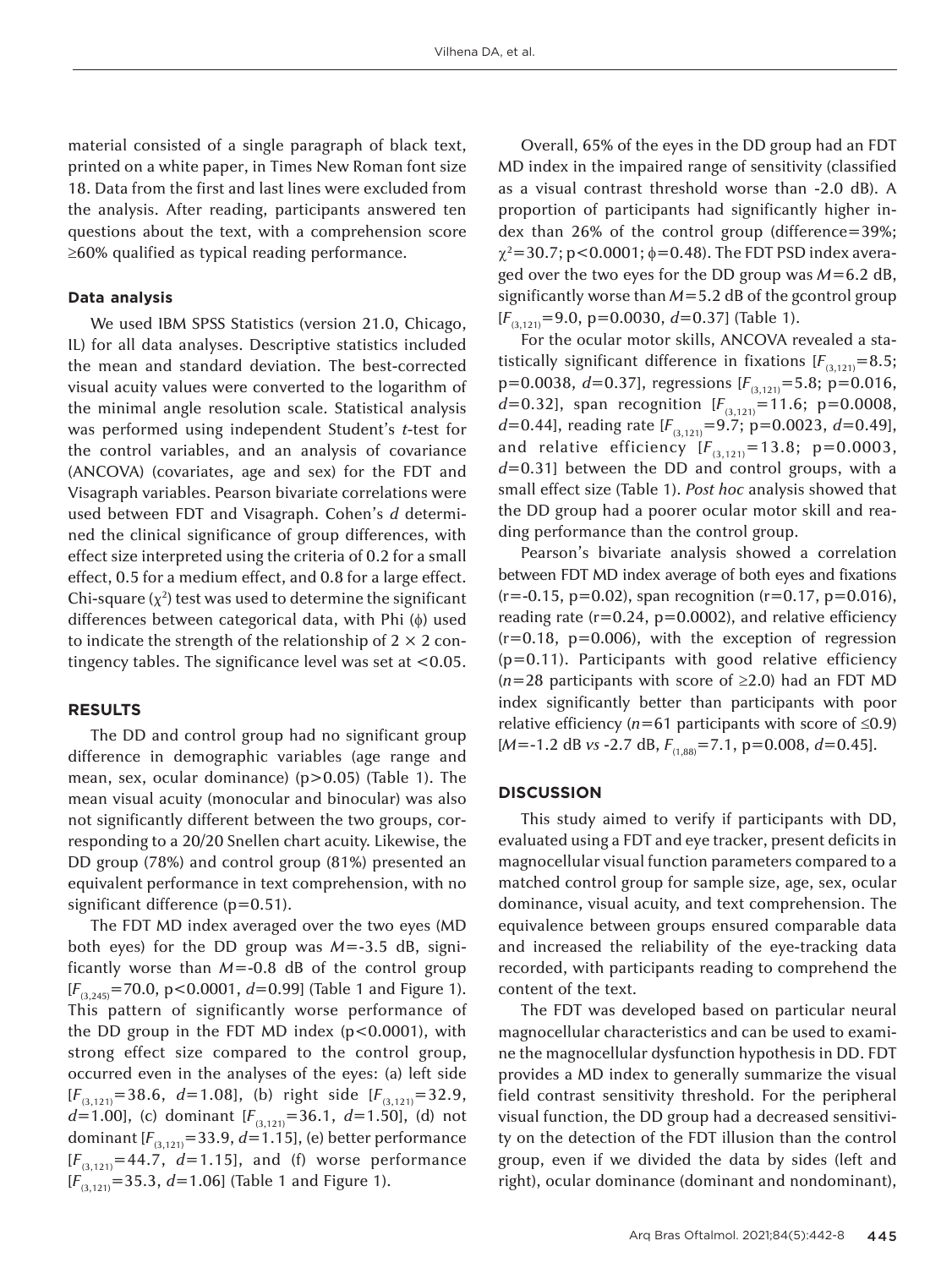material consisted of a single paragraph of black text, printed on a white paper, in Times New Roman font size 18. Data from the first and last lines were excluded from the analysis. After reading, participants answered ten questions about the text, with a comprehension score ≥60% qualified as typical reading performance.

#### **Data analysis**

We used IBM SPSS Statistics (version 21.0, Chicago, IL) for all data analyses. Descriptive statistics included the mean and standard deviation. The best-corrected visual acuity values were converted to the logarithm of the minimal angle resolution scale. Statistical analysis was performed using independent Student's *t*-test for the control variables, and an analysis of covariance (ANCOVA) (covariates, age and sex) for the FDT and Visagraph variables. Pearson bivariate correlations were used between FDT and Visagraph. Cohen's *d* determined the clinical significance of group differences, with effect size interpreted using the criteria of 0.2 for a small effect, 0.5 for a medium effect, and 0.8 for a large effect. Chi-square  $(\chi^2)$  test was used to determine the significant differences between categorical data, with Phi (φ) used to indicate the strength of the relationship of  $2 \times 2$  contingency tables. The significance level was set at <0.05.

#### **RESULTS**

The DD and control group had no significant group difference in demographic variables (age range and mean, sex, ocular dominance) (p>0.05) (Table 1). The mean visual acuity (monocular and binocular) was also not significantly different between the two groups, corresponding to a 20/20 Snellen chart acuity. Likewise, the DD group (78%) and control group (81%) presented an equivalent performance in text comprehension, with no significant difference (p*=*0.51).

The FDT MD index averaged over the two eyes (MD both eyes) for the DD group was *M*=-3.5 dB, significantly worse than *M*=-0.8 dB of the control group [*F*(3,245)=70.0, p<0.0001, *d*=0.99] (Table 1 and Figure 1). This pattern of significantly worse performance of the DD group in the FDT MD index (p<0.0001), with strong effect size compared to the control group, occurred even in the analyses of the eyes: (a) left side  $[F_{(3,121)}=38.6, d=1.08]$ , (b) right side  $[F_{(3,121)}=32.9,$ *d*=1.00], (c) dominant  $[F_{(3,121)}=36.1, d=1.50]$ , (d) not dominant  $[F_{(3,121)}=33.9, d=1.15]$ , (e) better performance  $[F_{(3,121)}=44.7, d=1.15]$ , and (f) worse performance [*F*(3,121)=35.3, *d*=1.06] (Table 1 and Figure 1).

Overall, 65% of the eyes in the DD group had an FDT MD index in the impaired range of sensitivity (classified as a visual contrast threshold worse than -2.0 dB). A proportion of participants had significantly higher index than 26% of the control group (difference=39%;  $\chi^2$ =30.7; p<0.0001;  $\phi$ =0.48). The FDT PSD index averaged over the two eyes for the DD group was *M*=6.2 dB, significantly worse than *M*=5.2 dB of the gcontrol group [*F*(3,121)=9.0, p*=*0.0030, *d*=0.37] (Table 1).

For the ocular motor skills, ANCOVA revealed a statistically significant difference in fixations  $[F_{(3,121)}=8.5;$ p=0.0038, *d*=0.37], regressions [*F*(3,121)=5.8; p*=*0.016, *d*=0.32], span recognition  $[F_{(3,121)}=11.6; \text{ p}=0.0008$ , *d*=0.44], reading rate  $[F_{(3,121)}=9.7;$  p=0.0023, *d*=0.49], and relative efficiency  $[F_{(3,121)}=13.8; \text{ p}=0.0003,$ *d*=0.31] between the DD and control groups, with a small effect size (Table 1). *Post hoc* analysis showed that the DD group had a poorer ocular motor skill and reading performance than the control group.

Pearson's bivariate analysis showed a correlation between FDT MD index average of both eyes and fixations (r=-0.15, p*=*0.02), span recognition (r=0.17, p*=*0.016), reading rate (r=0.24, p*=*0.0002), and relative efficiency (r=0.18, p*=*0.006), with the exception of regression (p*=*0.11). Participants with good relative efficiency (*n*=28 participants with score of ≥2.0) had an FDT MD index significantly better than participants with poor relative efficiency ( $n=61$  participants with score of  $\leq 0.9$ ) [*M*=-1.2 dB *vs* -2.7 dB, *F*(1,88)=7.1, p*=*0.008, *d*=0.45].

# **DISCUSSION**

This study aimed to verify if participants with DD, evaluated using a FDT and eye tracker, present deficits in magnocellular visual function parameters compared to a matched control group for sample size, age, sex, ocular dominance, visual acuity, and text comprehension. The equivalence between groups ensured comparable data and increased the reliability of the eye-tracking data recorded, with participants reading to comprehend the content of the text.

The FDT was developed based on particular neural magnocellular characteristics and can be used to examine the magnocellular dysfunction hypothesis in DD. FDT provides a MD index to generally summarize the visual field contrast sensitivity threshold. For the peripheral visual function, the DD group had a decreased sensitivity on the detection of the FDT illusion than the control group, even if we divided the data by sides (left and right), ocular dominance (dominant and nondominant),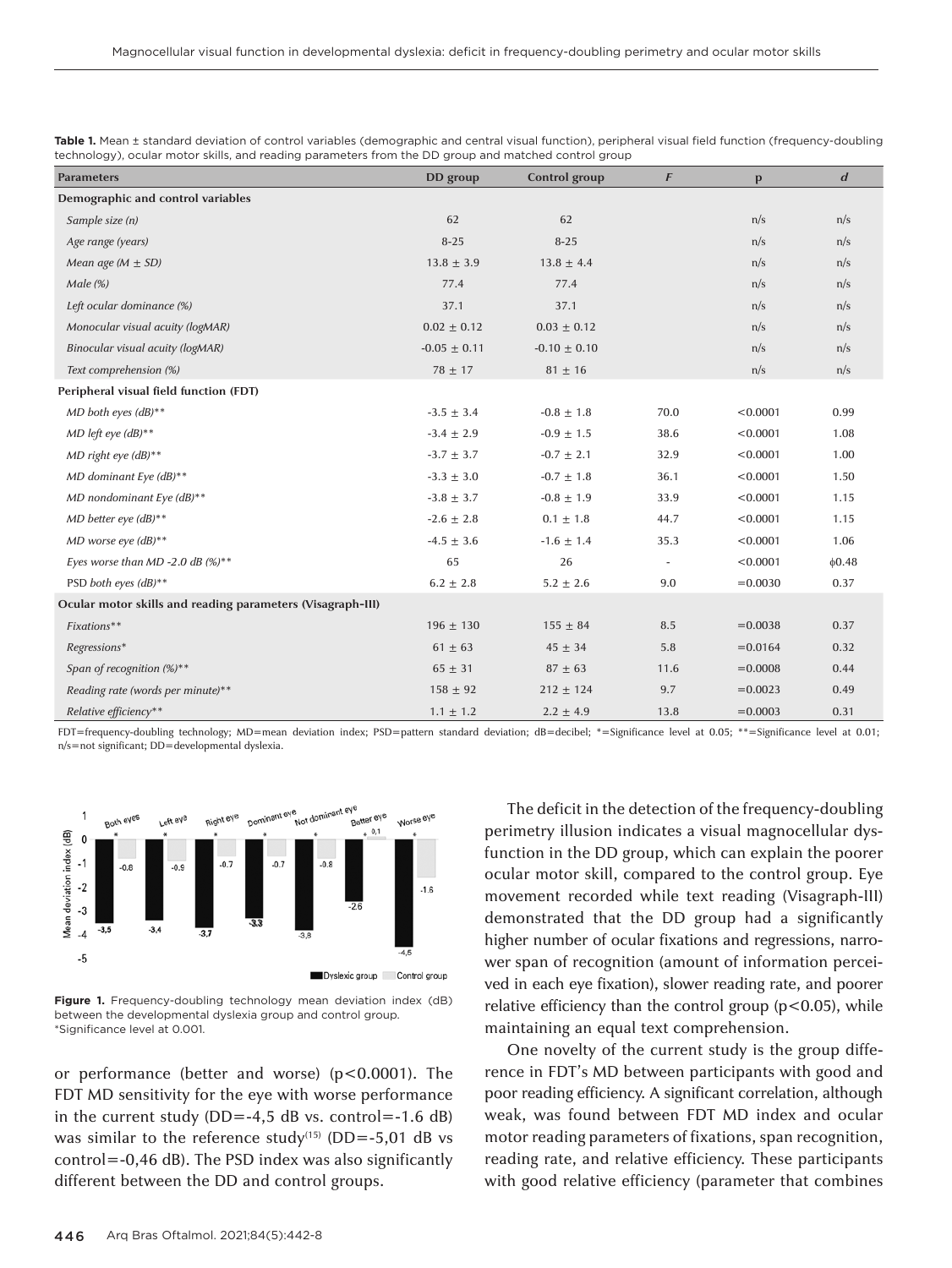| <b>Parameters</b>                                          | DD group         | Control group    | F                        | p          | $\boldsymbol{d}$ |
|------------------------------------------------------------|------------------|------------------|--------------------------|------------|------------------|
| Demographic and control variables                          |                  |                  |                          |            |                  |
| Sample size (n)                                            | 62               | 62               |                          | n/s        | n/s              |
| Age range (years)                                          | $8 - 25$         | $8 - 25$         |                          | n/s        | n/s              |
| Mean age ( $M \pm SD$ )                                    | $13.8 \pm 3.9$   | $13.8 \pm 4.4$   |                          | n/s        | n/s              |
| Male (%)                                                   | 77.4             | 77.4             |                          | n/s        | n/s              |
| Left ocular dominance (%)                                  | 37.1             | 37.1             |                          | n/s        | n/s              |
| Monocular visual acuity (logMAR)                           | $0.02 \pm 0.12$  | $0.03 \pm 0.12$  |                          | n/s        | n/s              |
| Binocular visual acuity (logMAR)                           | $-0.05 \pm 0.11$ | $-0.10 \pm 0.10$ |                          | n/s        | n/s              |
| Text comprehension (%)                                     | $78 \pm 17$      | $81 \pm 16$      |                          | n/s        | n/s              |
| Peripheral visual field function (FDT)                     |                  |                  |                          |            |                  |
| $MD$ both eyes $(dB)$ **                                   | $-3.5 \pm 3.4$   | $-0.8 \pm 1.8$   | 70.0                     | < 0.0001   | 0.99             |
| $MD$ left eye (dB)**                                       | $-3.4 \pm 2.9$   | $-0.9 \pm 1.5$   | 38.6                     | < 0.0001   | 1.08             |
| $MD$ right eye (dB)**                                      | $-3.7 \pm 3.7$   | $-0.7 \pm 2.1$   | 32.9                     | < 0.0001   | 1.00             |
| MD dominant Eye $(dB)$ **                                  | $-3.3 \pm 3.0$   | $-0.7 \pm 1.8$   | 36.1                     | < 0.0001   | 1.50             |
| MD nondominant Eye (dB)**                                  | $-3.8 \pm 3.7$   | $-0.8 \pm 1.9$   | 33.9                     | < 0.0001   | 1.15             |
| $MD$ better eye $(dB)$ **                                  | $-2.6 \pm 2.8$   | $0.1 \pm 1.8$    | 44.7                     | < 0.0001   | 1.15             |
| MD worse eye $(dB)$ **                                     | $-4.5 \pm 3.6$   | $-1.6 \pm 1.4$   | 35.3                     | < 0.0001   | 1.06             |
| Eyes worse than MD -2.0 dB $(\%)^{**}$                     | 65               | 26               | $\overline{\phantom{a}}$ | < 0.0001   | &0.48            |
| PSD both eyes (dB)**                                       | $6.2 \pm 2.8$    | $5.2 \pm 2.6$    | 9.0                      | $= 0.0030$ | 0.37             |
| Ocular motor skills and reading parameters (Visagraph-III) |                  |                  |                          |            |                  |
| Fixations**                                                | $196 \pm 130$    | $155 \pm 84$     | 8.5                      | $= 0.0038$ | 0.37             |
| Regressions*                                               | $61 \pm 63$      | $45 \pm 34$      | 5.8                      | $= 0.0164$ | 0.32             |
| Span of recognition $(\%)^{**}$                            | $65 \pm 31$      | $87 \pm 63$      | 11.6                     | $= 0.0008$ | 0.44             |
| Reading rate (words per minute)**                          | $158 \pm 92$     | $212 \pm 124$    | 9.7                      | $= 0.0023$ | 0.49             |
| Relative efficiency**                                      | $1.1 \pm 1.2$    | $2.2 \pm 4.9$    | 13.8                     | $= 0.0003$ | 0.31             |

**Table 1.** Mean ± standard deviation of control variables (demographic and central visual function), peripheral visual field function (frequency-doubling technology), ocular motor skills, and reading parameters from the DD group and matched control group

FDT=frequency-doubling technology; MD=mean deviation index; PSD=pattern standard deviation; dB=decibel; \*=Significance level at 0.05; \*\*=Significance level at 0.01; n/s=not significant; DD=developmental dyslexia.



**Figure 1.** Frequency-doubling technology mean deviation index (dB) between the developmental dyslexia group and control group. \*Significance level at 0.001.

or performance (better and worse) (p<0.0001). The FDT MD sensitivity for the eye with worse performance in the current study  $(DD=-4,5$  dB vs. control=-1.6 dB) was similar to the reference study<sup>(15)</sup> (DD=-5,01 dB vs control=-0,46 dB). The PSD index was also significantly different between the DD and control groups.

The deficit in the detection of the frequency-doubling perimetry illusion indicates a visual magnocellular dysfunction in the DD group, which can explain the poorer ocular motor skill, compared to the control group. Eye movement recorded while text reading (Visagraph-III) demonstrated that the DD group had a significantly higher number of ocular fixations and regressions, narrower span of recognition (amount of information perceived in each eye fixation), slower reading rate, and poorer relative efficiency than the control group ( $p$ <0.05), while maintaining an equal text comprehension.

One novelty of the current study is the group difference in FDT's MD between participants with good and poor reading efficiency. A significant correlation, although weak, was found between FDT MD index and ocular motor reading parameters of fixations, span recognition, reading rate, and relative efficiency. These participants with good relative efficiency (parameter that combines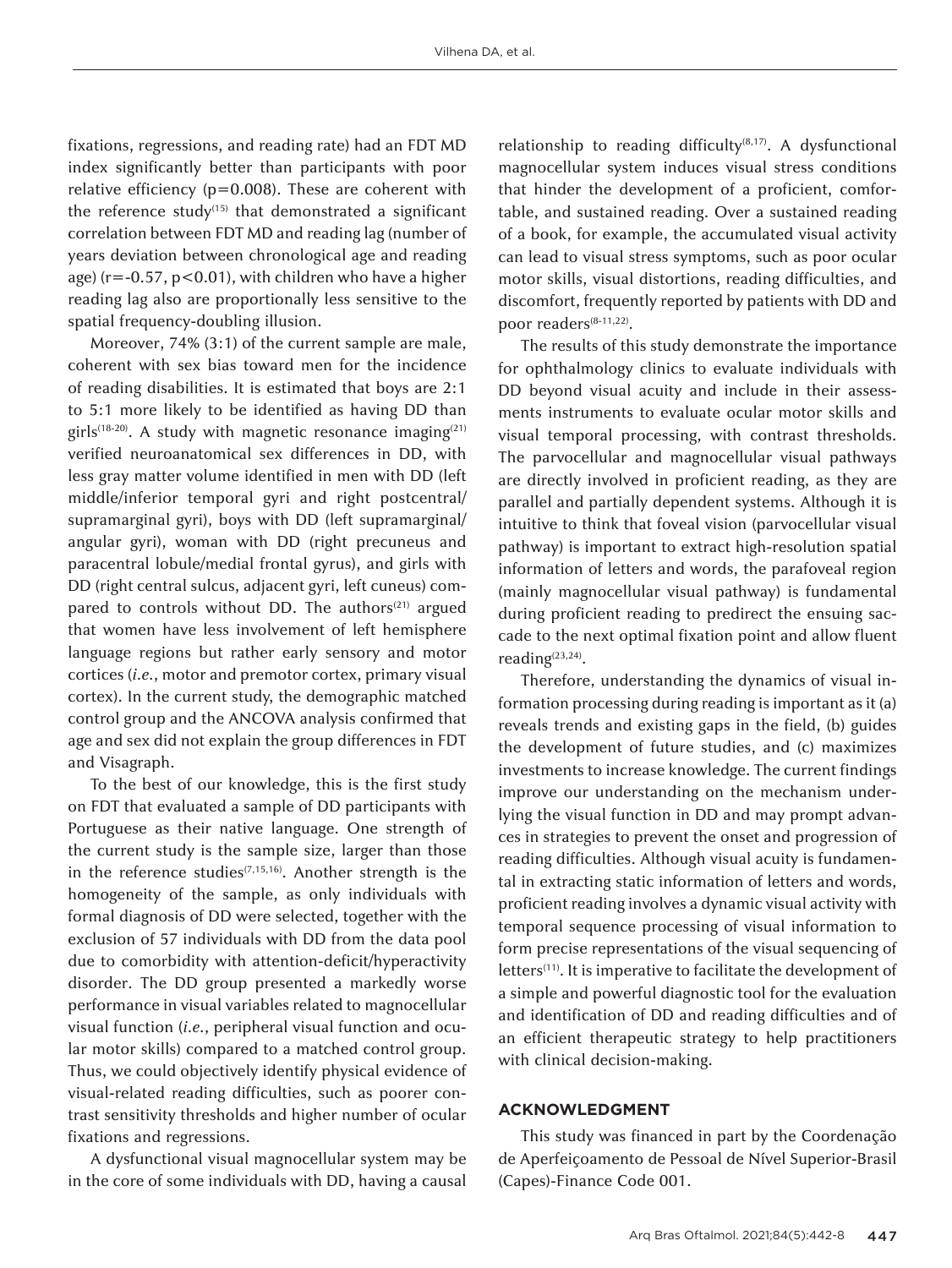fixations, regressions, and reading rate) had an FDT MD index significantly better than participants with poor relative efficiency (p*=*0.008). These are coherent with the reference study<sup> $(15)$ </sup> that demonstrated a significant correlation between FDT MD and reading lag (number of years deviation between chronological age and reading age) (r=-0.57, p<0.01), with children who have a higher reading lag also are proportionally less sensitive to the spatial frequency-doubling illusion.

Moreover, 74% (3:1) of the current sample are male, coherent with sex bias toward men for the incidence of reading disabilities. It is estimated that boys are 2:1 to 5:1 more likely to be identified as having DD than girls<sup>(18-20)</sup>. A study with magnetic resonance imaging<sup>(21)</sup> verified neuroanatomical sex differences in DD, with less gray matter volume identified in men with DD (left middle/inferior temporal gyri and right postcentral/ supramarginal gyri), boys with DD (left supramarginal/ angular gyri), woman with DD (right precuneus and paracentral lobule/medial frontal gyrus), and girls with DD (right central sulcus, adjacent gyri, left cuneus) compared to controls without DD. The authors $(21)$  argued that women have less involvement of left hemisphere language regions but rather early sensory and motor cortices (*i.e.*, motor and premotor cortex, primary visual cortex). In the current study, the demographic matched control group and the ANCOVA analysis confirmed that age and sex did not explain the group differences in FDT and Visagraph.

To the best of our knowledge, this is the first study on FDT that evaluated a sample of DD participants with Portuguese as their native language. One strength of the current study is the sample size, larger than those in the reference studies<sup> $(7,15,16)$ </sup>. Another strength is the homogeneity of the sample, as only individuals with formal diagnosis of DD were selected, together with the exclusion of 57 individuals with DD from the data pool due to comorbidity with attention-deficit/hyperactivity disorder. The DD group presented a markedly worse performance in visual variables related to magnocellular visual function (*i.e.*, peripheral visual function and ocular motor skills) compared to a matched control group. Thus, we could objectively identify physical evidence of visual-related reading difficulties, such as poorer contrast sensitivity thresholds and higher number of ocular fixations and regressions.

A dysfunctional visual magnocellular system may be in the core of some individuals with DD, having a causal relationship to reading difficulty<sup>(8,17)</sup>. A dysfunctional magnocellular system induces visual stress conditions that hinder the development of a proficient, comfortable, and sustained reading. Over a sustained reading of a book, for example, the accumulated visual activity can lead to visual stress symptoms, such as poor ocular motor skills, visual distortions, reading difficulties, and discomfort, frequently reported by patients with DD and poor readers<sup>(8-11,22)</sup>.

The results of this study demonstrate the importance for ophthalmology clinics to evaluate individuals with DD beyond visual acuity and include in their assessments instruments to evaluate ocular motor skills and visual temporal processing, with contrast thresholds. The parvocellular and magnocellular visual pathways are directly involved in proficient reading, as they are parallel and partially dependent systems. Although it is intuitive to think that foveal vision (parvocellular visual pathway) is important to extract high-resolution spatial information of letters and words, the parafoveal region (mainly magnocellular visual pathway) is fundamental during proficient reading to predirect the ensuing saccade to the next optimal fixation point and allow fluent reading<sup>(23,24)</sup>.

Therefore, understanding the dynamics of visual information processing during reading is important as it (a) reveals trends and existing gaps in the field, (b) guides the development of future studies, and (c) maximizes investments to increase knowledge. The current findings improve our understanding on the mechanism underlying the visual function in DD and may prompt advances in strategies to prevent the onset and progression of reading difficulties. Although visual acuity is fundamental in extracting static information of letters and words, proficient reading involves a dynamic visual activity with temporal sequence processing of visual information to form precise representations of the visual sequencing of letters<sup>(11)</sup>. It is imperative to facilitate the development of a simple and powerful diagnostic tool for the evaluation and identification of DD and reading difficulties and of an efficient therapeutic strategy to help practitioners with clinical decision-making.

# **ACKNOWLEDGMENT**

This study was financed in part by the Coordenação de Aperfeiçoamento de Pessoal de Nível Superior-Brasil (Capes)-Finance Code 001.